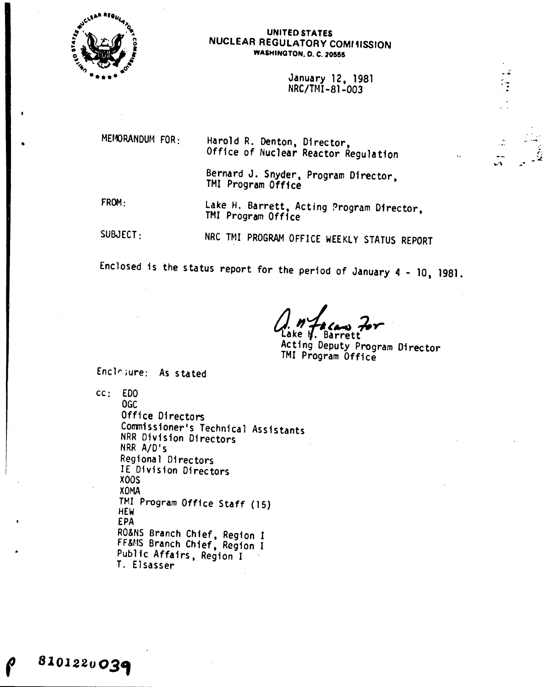

•

#### UNITED STATES NUCLEAR REGULATORY COMt11SSl0N **WASHINGTON, D. C. 20555**

January 12, 1981 NRC/TNI-81-003

MEMORANDUM FOR:

Harold R. Denton, Director, Office of Nuclear Reactor Regulation

Bernard J. Snyder, Program Director, TMI Program Office

FROM:

8101220039

lake H. Barrett, Acting Program Director, TMI Program Office

SUBJECT:

NRC TMI PROGRAM OFFICE WEEKLY STATUS REPORT

Enclosed is the status report for the period of January  $4 - 10$ , 1981.

1. *"Iscan For* **e M. Barrett** 

Acting Deputy Program Director TMI Program Office

 $\mathbf{v}$  ,  $\mathbf{v}$ 

 $\frac{1}{2}$ 

Enclrjure: As stated

cc: £00 OGC Office Directors Commissioner's Technical Assistants NRR Division Directors NRR A/D's Regional Directors IE Division Directors XOOS XOMA TMI Program Office Staff (15) HEW EPA RO&NS Branch Chief, Region I *FF&t.1S* Branch Chief, Region I Public Affairs, Region I T. El sasser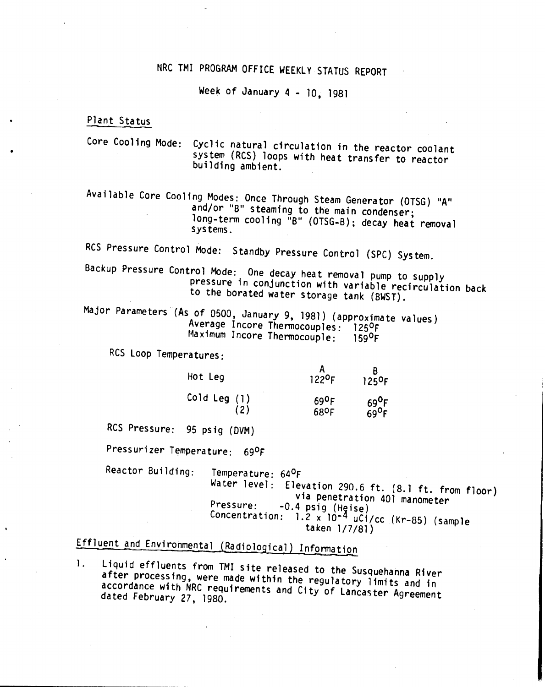## NRC TMI PROGRAM OFFICE WEEKLY STATUS REPORT

Week of January 4 - 10, 1981

# Plant Status

Core Cooling Mode: Cyclic natural circulation in the reactor coolant system (ReS) loops with heat transfer to reactor building ambient.

Available Core Cooling Modes: Once Through Steam Generator (OTSG) "A" and/or "B" steaming to the main condenser; long-term cooling "B" (OTSG-B); decay heat removal systems.

RCS Pressure Control Mode: Standby Pressure Control (SPC) System.

Backup Pressure Control Mode: One decay heat removal pump to supply pressure in conjunction with variable recirculation back to the borated water storage tank (BWST).

Major Parameters (As of 0500, January 9, 1981) (approximate values) Average Incore Thermocouples: 125ºF Maximum Incore Thermocouple: 1590F

RCS Loop Temperatures:

| Hot Leg             | 122 <sup>0</sup> F                       | 125 <sup>o</sup> F |
|---------------------|------------------------------------------|--------------------|
| Cold Leg (1)<br>(2) | $69$ <sup>O</sup> F<br>68 <sup>o</sup> F | 690F               |

RCS Pressure: 95 psig (DVM)

Pressurizer Temperature: 690F

Reactor Building: Temperature: 640F

Water level: Elevation 290.6 ft. (8.1 ft. from floor) via penetration 401 manometer<br>-0.4 psiq (Heise) Pressure: -0.4 psig (Heise) Concentration: 1.2 x 10-<sup>4</sup> uCi/cc (Kr-85) (sample taken 1/7/81)

## Effluent and Environmental (Radiological) Information

1. Liquid effluents from TMI site released to the Susquehanna River after processing, were made within the regulatory limits and in accordance with NRC requirements and City of Lancaster Agreement dated February 27, 1980.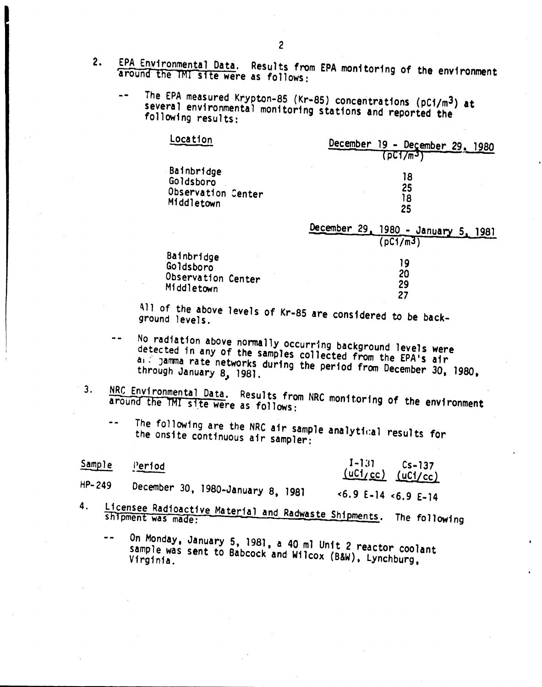- 2. EPA Environmental Data. Results from EPA monitoring of the environment 'around'the TMl site were as follows:
	- The EPA measured Krypton-8S (Kr-8S) concentrations (pCi/m3) at several environmental monitoring stations and reported the following results:

| Location           | December 19 - December 29, 1980<br>(DCI/mJ)     |
|--------------------|-------------------------------------------------|
| Bainbridge         | 18                                              |
| Goldsboro          | 25                                              |
| Observation Center | 18                                              |
| Middletown         | 25                                              |
|                    | December 29, 1980 - January 5, 1981<br>(pc1/m3) |
| Bainbridge         | 19                                              |
| Goldsboro          | 20                                              |
| Observation Center | 29                                              |
| Middletown         | 27                                              |

All of the above levels of Kr-85 are considered to be back-

- No radiation above normally occurring background levels were  $\sim$   $\sim$ detected in any of the samples collected from the EPA's air al : jamma rate networks during the period from December 30, 1980,
- 3. NRC Environmental Data. Results from NRC monitoring of the environment<br>around the TMI site were as follows:
	- The following are the NRC air sample analytical results for  $\sim$   $\sim$ the onsite continuous air sampler:

| Sample | Period                            | $1 - 131$<br>$Cs - 137$<br>$(uC1_{/}cc)$ $(uC1_{/}cc)$ |
|--------|-----------------------------------|--------------------------------------------------------|
| HP-249 | December 30, 1980-January 8, 1981 | $5.9$ E-14 $5.9$ E-14                                  |
|        | $11$ cancoo Deddee $\mu$          |                                                        |

- 4. Licensee Radioactive Material and Radwaste Shipments. The following
	- On Monday, January 5, 1981, a 40 ml Unit 2 reactor coolant  $=$   $$ sample was sent to Babcock and Wilcox (B&W), Lynchburg,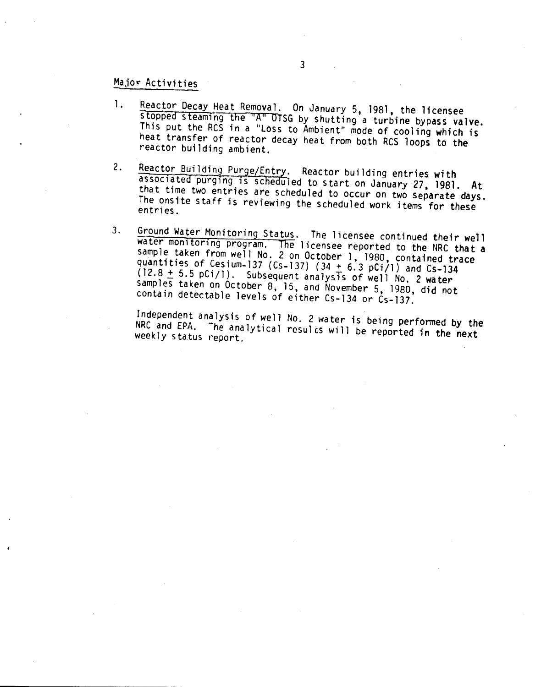### Major Activities

- 1. Reactor Decay Heat Removal. On January 5, 1981, the licensee stopped steaming the  ${}^{\prime\prime}A{}^{\prime\prime}$  OTSG by shutting a turbine bypass valve. Inis put the RCS in a "Loss to Ambient" mode of cooling which is heat transfer of reactor decay heat from both RCS loops to the reactor building ambient.
- 2. Reactor Building Purge/Entry. Reactor building entries with associated purging is scheduled to start on January 27, 1981. At that time two entries are scheduled to occur on two separate days. The onsite staff is reviewing the scheduled work items for these entries.
- 3. Ground Water Monitoring Status. The licensee continued their well water monitoring program. The licensee reported to the NRC that a sample taken from well No. 2 on October 1, 1980, contained trace quantities of Cesium-137 (Cs-137)  $(34 + 6.3 \text{ pCi/1})$  and Cs-134  $(12.8 + 5.5 \text{ pCi}/1)$ . Subsequent analysts of well *No.* 2 water samples taken on October 8, 15, and November 5, 1980, did not contain detectable levels of either Cs-134 or Cs-137.

Independent analysis of well No. 2 water is being performed by the NRC and EPA. The analytical results will be reported in the next<br>weekly status report.